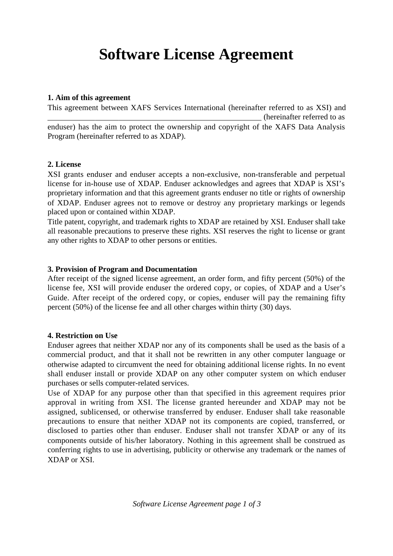# **Software License Agreement**

## **1. Aim of this agreement**

This agreement between XAFS Services International (hereinafter referred to as XSI) and (hereinafter referred to as enduser) has the aim to protect the ownership and copyright of the XAFS Data Analysis Program (hereinafter referred to as XDAP).

## **2. License**

XSI grants enduser and enduser accepts a non-exclusive, non-transferable and perpetual license for in-house use of XDAP. Enduser acknowledges and agrees that XDAP is XSI's proprietary information and that this agreement grants enduser no title or rights of ownership of XDAP. Enduser agrees not to remove or destroy any proprietary markings or legends placed upon or contained within XDAP.

Title patent, copyright, and trademark rights to XDAP are retained by XSI. Enduser shall take all reasonable precautions to preserve these rights. XSI reserves the right to license or grant any other rights to XDAP to other persons or entities.

## **3. Provision of Program and Documentation**

After receipt of the signed license agreement, an order form, and fifty percent (50%) of the license fee, XSI will provide enduser the ordered copy, or copies, of XDAP and a User's Guide. After receipt of the ordered copy, or copies, enduser will pay the remaining fifty percent (50%) of the license fee and all other charges within thirty (30) days.

# **4. Restriction on Use**

Enduser agrees that neither XDAP nor any of its components shall be used as the basis of a commercial product, and that it shall not be rewritten in any other computer language or otherwise adapted to circumvent the need for obtaining additional license rights. In no event shall enduser install or provide XDAP on any other computer system on which enduser purchases or sells computer-related services.

Use of XDAP for any purpose other than that specified in this agreement requires prior approval in writing from XSI. The license granted hereunder and XDAP may not be assigned, sublicensed, or otherwise transferred by enduser. Enduser shall take reasonable precautions to ensure that neither XDAP not its components are copied, transferred, or disclosed to parties other than enduser. Enduser shall not transfer XDAP or any of its components outside of his/her laboratory. Nothing in this agreement shall be construed as conferring rights to use in advertising, publicity or otherwise any trademark or the names of XDAP or XSI.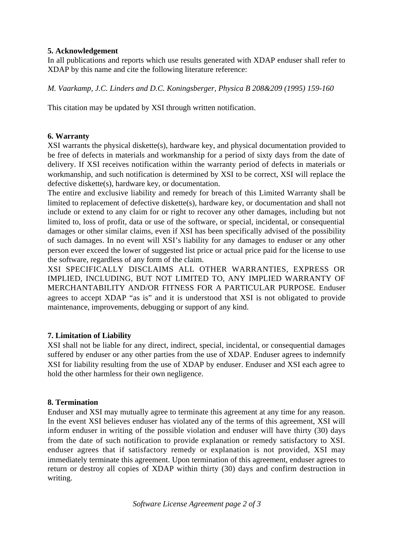# **5. Acknowledgement**

In all publications and reports which use results generated with XDAP enduser shall refer to XDAP by this name and cite the following literature reference:

*M. Vaarkamp, J.C. Linders and D.C. Koningsberger, Physica B 208&209 (1995) 159-160*

This citation may be updated by XSI through written notification.

# **6. Warranty**

XSI warrants the physical diskette(s), hardware key, and physical documentation provided to be free of defects in materials and workmanship for a period of sixty days from the date of delivery. If XSI receives notification within the warranty period of defects in materials or workmanship, and such notification is determined by XSI to be correct, XSI will replace the defective diskette(s), hardware key, or documentation.

The entire and exclusive liability and remedy for breach of this Limited Warranty shall be limited to replacement of defective diskette(s), hardware key, or documentation and shall not include or extend to any claim for or right to recover any other damages, including but not limited to, loss of profit, data or use of the software, or special, incidental, or consequential damages or other similar claims, even if XSI has been specifically advised of the possibility of such damages. In no event will XSI's liability for any damages to enduser or any other person ever exceed the lower of suggested list price or actual price paid for the license to use the software, regardless of any form of the claim.

XSI SPECIFICALLY DISCLAIMS ALL OTHER WARRANTIES, EXPRESS OR IMPLIED, INCLUDING, BUT NOT LIMITED TO, ANY IMPLIED WARRANTY OF MERCHANTABILITY AND/OR FITNESS FOR A PARTICULAR PURPOSE. Enduser agrees to accept XDAP "as is" and it is understood that XSI is not obligated to provide maintenance, improvements, debugging or support of any kind.

# **7. Limitation of Liability**

XSI shall not be liable for any direct, indirect, special, incidental, or consequential damages suffered by enduser or any other parties from the use of XDAP. Enduser agrees to indemnify XSI for liability resulting from the use of XDAP by enduser. Enduser and XSI each agree to hold the other harmless for their own negligence.

# **8. Termination**

Enduser and XSI may mutually agree to terminate this agreement at any time for any reason. In the event XSI believes enduser has violated any of the terms of this agreement, XSI will inform enduser in writing of the possible violation and enduser will have thirty (30) days from the date of such notification to provide explanation or remedy satisfactory to XSI. enduser agrees that if satisfactory remedy or explanation is not provided, XSI may immediately terminate this agreement. Upon termination of this agreement, enduser agrees to return or destroy all copies of XDAP within thirty (30) days and confirm destruction in writing.

*Software License Agreement page 2 of 3*